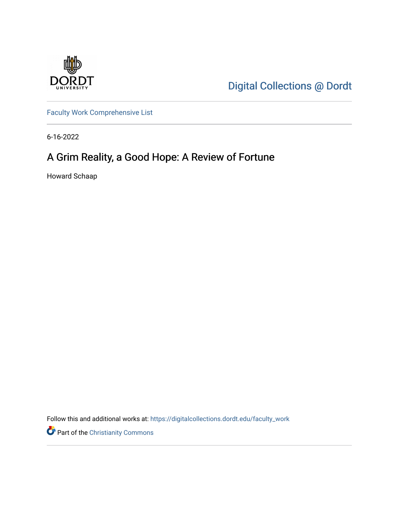

[Digital Collections @ Dordt](https://digitalcollections.dordt.edu/) 

[Faculty Work Comprehensive List](https://digitalcollections.dordt.edu/faculty_work)

6-16-2022

# A Grim Reality, a Good Hope: A Review of Fortune

Howard Schaap

Follow this and additional works at: [https://digitalcollections.dordt.edu/faculty\\_work](https://digitalcollections.dordt.edu/faculty_work?utm_source=digitalcollections.dordt.edu%2Ffaculty_work%2F1394&utm_medium=PDF&utm_campaign=PDFCoverPages) 

Part of the [Christianity Commons](https://network.bepress.com/hgg/discipline/1181?utm_source=digitalcollections.dordt.edu%2Ffaculty_work%2F1394&utm_medium=PDF&utm_campaign=PDFCoverPages)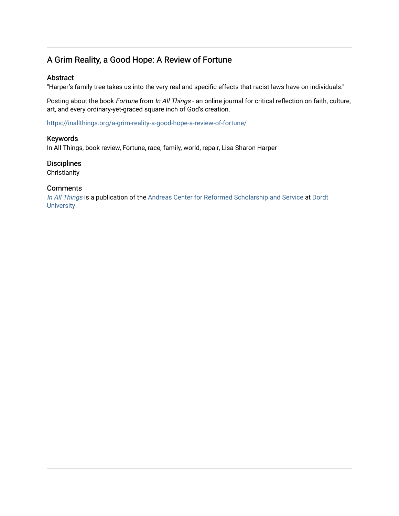# A Grim Reality, a Good Hope: A Review of Fortune

#### Abstract

"Harper's family tree takes us into the very real and specific effects that racist laws have on individuals."

Posting about the book Fortune from In All Things - an online journal for critical reflection on faith, culture, art, and every ordinary-yet-graced square inch of God's creation.

<https://inallthings.org/a-grim-reality-a-good-hope-a-review-of-fortune/>

#### Keywords

In All Things, book review, Fortune, race, family, world, repair, Lisa Sharon Harper

### **Disciplines**

**Christianity** 

#### **Comments**

[In All Things](http://inallthings.org/) is a publication of the [Andreas Center for Reformed Scholarship and Service](http://www.dordt.edu/services_support/andreas_center/) at Dordt [University](http://www.dordt.edu/).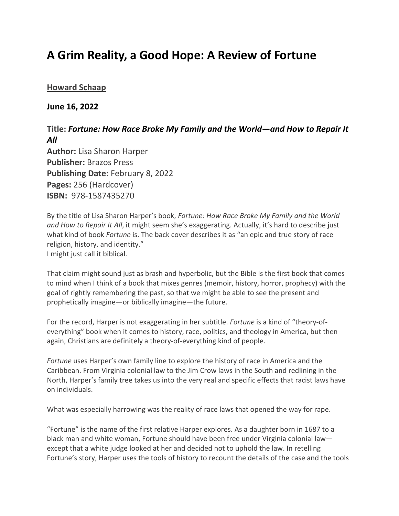# **A Grim Reality, a Good Hope: A Review of Fortune**

## **[Howard Schaap](https://inallthings.org/author/howard-schaap/)**

### **June 16, 2022**

## **Title:** *Fortune: How Race Broke My Family and the World—and How to Repair It All*

**Author:** Lisa Sharon Harper **Publisher:** Brazos Press **Publishing Date:** February 8, 2022 **Pages:** 256 (Hardcover) **ISBN:** 978-1587435270

By the title of Lisa Sharon Harper's book, *Fortune: How Race Broke My Family and the World and How to Repair It All*, it might seem she's exaggerating. Actually, it's hard to describe just what kind of book *Fortune* is. The back cover describes it as "an epic and true story of race religion, history, and identity." I might just call it biblical.

That claim might sound just as brash and hyperbolic, but the Bible is the first book that comes to mind when I think of a book that mixes genres (memoir, history, horror, prophecy) with the goal of rightly remembering the past, so that we might be able to see the present and prophetically imagine—or biblically imagine—the future.

For the record, Harper is not exaggerating in her subtitle. *Fortune* is a kind of "theory-ofeverything" book when it comes to history, race, politics, and theology in America, but then again, Christians are definitely a theory-of-everything kind of people.

*Fortune* uses Harper's own family line to explore the history of race in America and the Caribbean. From Virginia colonial law to the Jim Crow laws in the South and redlining in the North, Harper's family tree takes us into the very real and specific effects that racist laws have on individuals.

What was especially harrowing was the reality of race laws that opened the way for rape.

"Fortune" is the name of the first relative Harper explores. As a daughter born in 1687 to a black man and white woman, Fortune should have been free under Virginia colonial law except that a white judge looked at her and decided not to uphold the law. In retelling Fortune's story, Harper uses the tools of history to recount the details of the case and the tools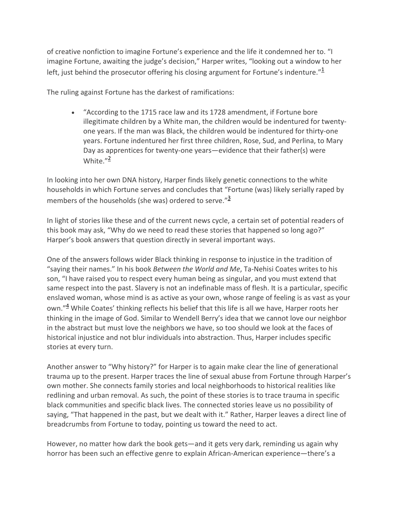of creative nonfiction to imagine Fortune's experience and the life it condemned her to. "I imagine Fortune, awaiting the judge's decision," Harper writes, "looking out a window to her left, just behind the prosecutor offering his closing argument for Fortune's indenture." $\frac{1}{2}$ 

The ruling against Fortune has the darkest of ramifications:

• "According to the 1715 race law and its 1728 amendment, if Fortune bore illegitimate children by a White man, the children would be indentured for twentyone years. If the man was Black, the children would be indentured for thirty-one years. Fortune indentured her first three children, Rose, Sud, and Perlina, to Mary Day as apprentices for twenty-one years—evidence that their father(s) were White. $^{\prime\prime}$ <sup>2</sup>

In looking into her own DNA history, Harper finds likely genetic connections to the white households in which Fortune serves and concludes that "Fortune (was) likely serially raped by members of the households (she was) ordered to serve." $\frac{3}{2}$ 

In light of stories like these and of the current news cycle, a certain set of potential readers of this book may ask, "Why do we need to read these stories that happened so long ago?" Harper's book answers that question directly in several important ways.

One of the answers follows wider Black thinking in response to injustice in the tradition of "saying their names." In his book *Between the World and Me*, Ta-Nehisi Coates writes to his son, "I have raised you to respect every human being as singular, and you must extend that same respect into the past. Slavery is not an indefinable mass of flesh. It is a particular, specific enslaved woman, whose mind is as active as your own, whose range of feeling is as vast as your own."<sup>4</sup> While Coates' thinking reflects his belief that this life is all we have, Harper roots her thinking in the image of God. Similar to Wendell Berry's idea that we cannot love our neighbor in the abstract but must love the neighbors we have, so too should we look at the faces of historical injustice and not blur individuals into abstraction. Thus, Harper includes specific stories at every turn.

Another answer to "Why history?" for Harper is to again make clear the line of generational trauma up to the present. Harper traces the line of sexual abuse from Fortune through Harper's own mother. She connects family stories and local neighborhoods to historical realities like redlining and urban removal. As such, the point of these stories is to trace trauma in specific black communities and specific black lives. The connected stories leave us no possibility of saying, "That happened in the past, but we dealt with it." Rather, Harper leaves a direct line of breadcrumbs from Fortune to today, pointing us toward the need to act.

However, no matter how dark the book gets—and it gets very dark, reminding us again why horror has been such an effective genre to explain African-American experience—there's a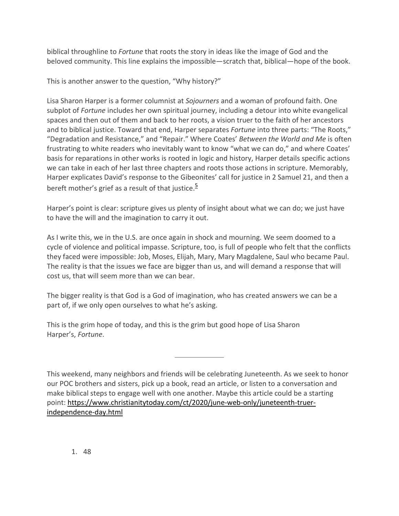biblical throughline to *Fortune* that roots the story in ideas like the image of God and the beloved community. This line explains the impossible—scratch that, biblical—hope of the book.

This is another answer to the question, "Why history?"

Lisa Sharon Harper is a former columnist at *Sojourners* and a woman of profound faith. One subplot of *Fortune* includes her own spiritual journey, including a detour into white evangelical spaces and then out of them and back to her roots, a vision truer to the faith of her ancestors and to biblical justice. Toward that end, Harper separates *Fortune* into three parts: "The Roots," "Degradation and Resistance," and "Repair." Where Coates' *Between the World and Me* is often frustrating to white readers who inevitably want to know "what we can do," and where Coates' basis for reparations in other works is rooted in logic and history, Harper details specific actions we can take in each of her last three chapters and roots those actions in scripture. Memorably, Harper explicates David's response to the Gibeonites' call for justice in 2 Samuel 21, and then a bereft mother's grief as a result of that justice.<sup>5</sup>

Harper's point is clear: scripture gives us plenty of insight about what we can do; we just have to have the will and the imagination to carry it out.

As I write this, we in the U.S. are once again in shock and mourning. We seem doomed to a cycle of violence and political impasse. Scripture, too, is full of people who felt that the conflicts they faced were impossible: Job, Moses, Elijah, Mary, Mary Magdalene, Saul who became Paul. The reality is that the issues we face are bigger than us, and will demand a response that will cost us, that will seem more than we can bear.

The bigger reality is that God is a God of imagination, who has created answers we can be a part of, if we only open ourselves to what he's asking.

This is the grim hope of today, and this is the grim but good hope of Lisa Sharon Harper's, *Fortune*.

This weekend, many neighbors and friends will be celebrating Juneteenth. As we seek to honor our POC brothers and sisters, pick up a book, read an article, or listen to a conversation and make biblical steps to engage well with one another. Maybe this article could be a starting point: https://www.christianitytoday.com/ct/2020/june-web-only/juneteenth-truerindependence-day.html